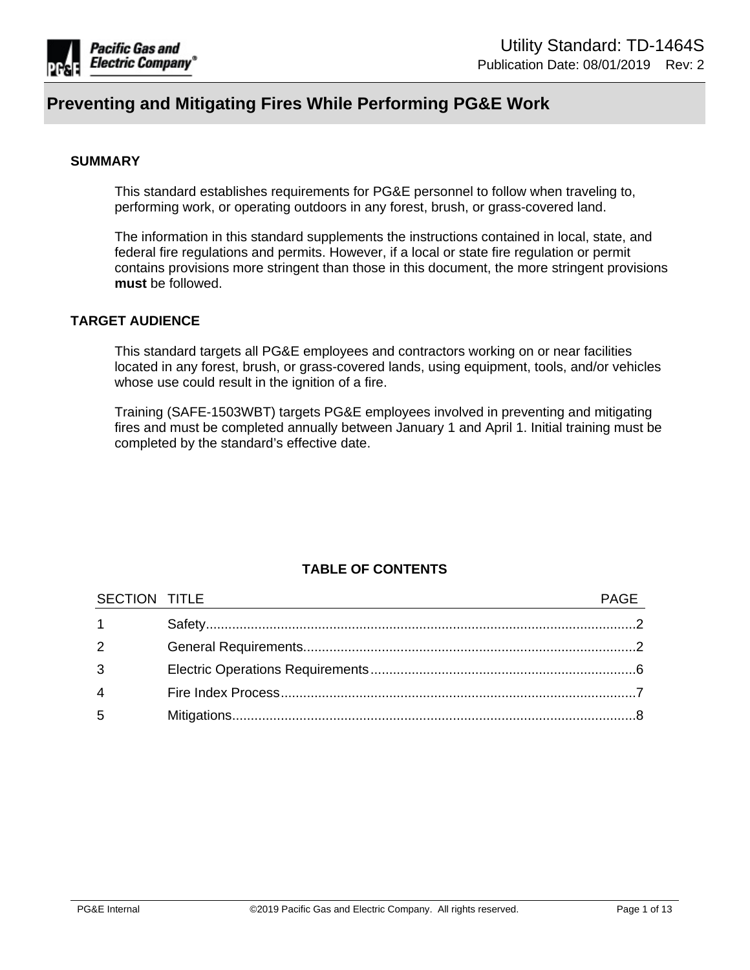

#### **SUMMARY**

This standard establishes requirements for PG&E personnel to follow when traveling to, performing work, or operating outdoors in any forest, brush, or grass-covered land.

The information in this standard supplements the instructions contained in local, state, and federal fire regulations and permits. However, if a local or state fire regulation or permit contains provisions more stringent than those in this document, the more stringent provisions **must** be followed.

#### **TARGET AUDIENCE**

This standard targets all PG&E employees and contractors working on or near facilities located in any forest, brush, or grass-covered lands, using equipment, tools, and/or vehicles whose use could result in the ignition of a fire.

Training (SAFE-1503WBT) targets PG&E employees involved in preventing and mitigating fires and must be completed annually between January 1 and April 1. Initial training must be completed by the standard's effective date.

## **TABLE OF CONTENTS**

| SECTION TITLE  |  |
|----------------|--|
|                |  |
| $\mathcal{P}$  |  |
| 3              |  |
| $\overline{4}$ |  |
| 5              |  |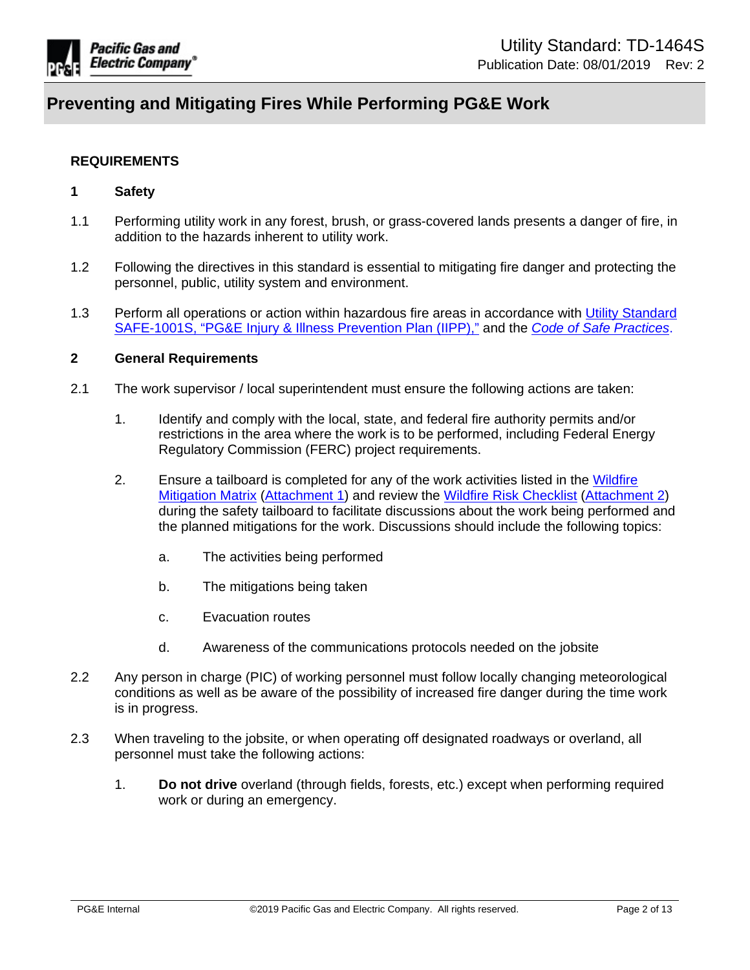

#### **REQUIREMENTS**

#### <span id="page-1-0"></span>**1 Safety**

- 1.1 Performing utility work in any forest, brush, or grass-covered lands presents a danger of fire, in addition to the hazards inherent to utility work.
- 1.2 Following the directives in this standard is essential to mitigating fire danger and protecting the personnel, public, utility system and environment.
- 1.3 Perform all operations or action within hazardous fire areas in accordance with [Utility Standard](https://edrm.comp.pge.com/D2/servlet/Download?auth=basic&event_name=open&version=PUBLISHED&id=09131aad8988b41e&_docbase=pge_ecm)  [SAFE-1001S, "PG&E Injury & Illness Prevention Plan \(IIPP\),"](https://edrm.comp.pge.com/D2/servlet/Download?auth=basic&event_name=open&version=PUBLISHED&id=09131aad8988b41e&_docbase=pge_ecm) and the *[Code of Safe Practices](https://ecmappwlsp01c2.comp.pge.com/TILVIEWER?chronicleId=09131aad80e044c4&vd=false&device=false)*.

### <span id="page-1-1"></span>**2 General Requirements**

- 2.1 The work supervisor / local superintendent must ensure the following actions are taken:
	- 1. Identify and comply with the local, state, and federal fire authority permits and/or restrictions in the area where the work is to be performed, including Federal Energy Regulatory Commission (FERC) project requirements.
	- 2. Ensure a tailboard is completed for any of the work activities listed in the [Wildfire](https://edrm.comp.pge.com/D2/?docbase=pge_ecm&commandEvent=D2_ACTION_CONTENT_VIEW&locateDql=pge_document(all)%20where%20i_chronicle_id%20=)  [Mitigation Matrix \(Attachment 1](https://edrm.comp.pge.com/D2/?docbase=pge_ecm&commandEvent=D2_ACTION_CONTENT_VIEW&locateDql=pge_document(all)%20where%20i_chronicle_id%20=)) and review the [Wildfire Risk Checklist](https://edrm.comp.pge.com/D2/?docbase=pge_ecm&commandEvent=D2_ACTION_CONTENT_VIEW&locateDql=pge_document(all)%20where%20i_chronicle_id%20=) [\(Attachment 2\)](https://edrm.comp.pge.com/D2/?docbase=pge_ecm&commandEvent=D2_ACTION_CONTENT_VIEW&locateDql=pge_document(all)%20where%20i_chronicle_id%20=) during the safety tailboard to facilitate discussions about the work being performed and the planned mitigations for the work. Discussions should include the following topics:
		- a. The activities being performed
		- b. The mitigations being taken
		- c. Evacuation routes
		- d. Awareness of the communications protocols needed on the jobsite
- 2.2 Any person in charge (PIC) of working personnel must follow locally changing meteorological conditions as well as be aware of the possibility of increased fire danger during the time work is in progress.
- 2.3 When traveling to the jobsite, or when operating off designated roadways or overland, all personnel must take the following actions:
	- 1. **Do not drive** overland (through fields, forests, etc.) except when performing required work or during an emergency.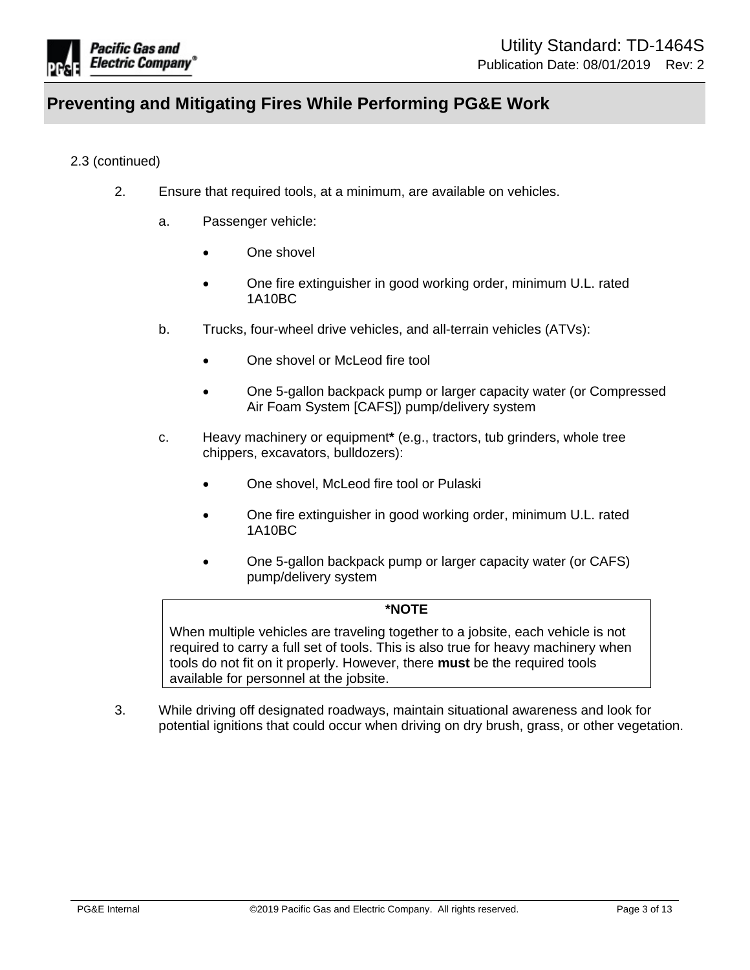

## 2.3 (continued)

- 2. Ensure that required tools, at a minimum, are available on vehicles.
	- a. Passenger vehicle:
		- One shovel
		- One fire extinguisher in good working order, minimum U.L. rated 1A10BC
	- b. Trucks, four-wheel drive vehicles, and all-terrain vehicles (ATVs):
		- One shovel or McLeod fire tool
		- One 5-gallon backpack pump or larger capacity water (or Compressed Air Foam System [CAFS]) pump/delivery system
	- c. Heavy machinery or equipment**\*** (e.g., tractors, tub grinders, whole tree chippers, excavators, bulldozers):
		- One shovel, McLeod fire tool or Pulaski
		- One fire extinguisher in good working order, minimum U.L. rated 1A10BC
		- One 5-gallon backpack pump or larger capacity water (or CAFS) pump/delivery system

#### **\*NOTE**

When multiple vehicles are traveling together to a jobsite, each vehicle is not required to carry a full set of tools. This is also true for heavy machinery when tools do not fit on it properly. However, there **must** be the required tools available for personnel at the jobsite.

3. While driving off designated roadways, maintain situational awareness and look for potential ignitions that could occur when driving on dry brush, grass, or other vegetation.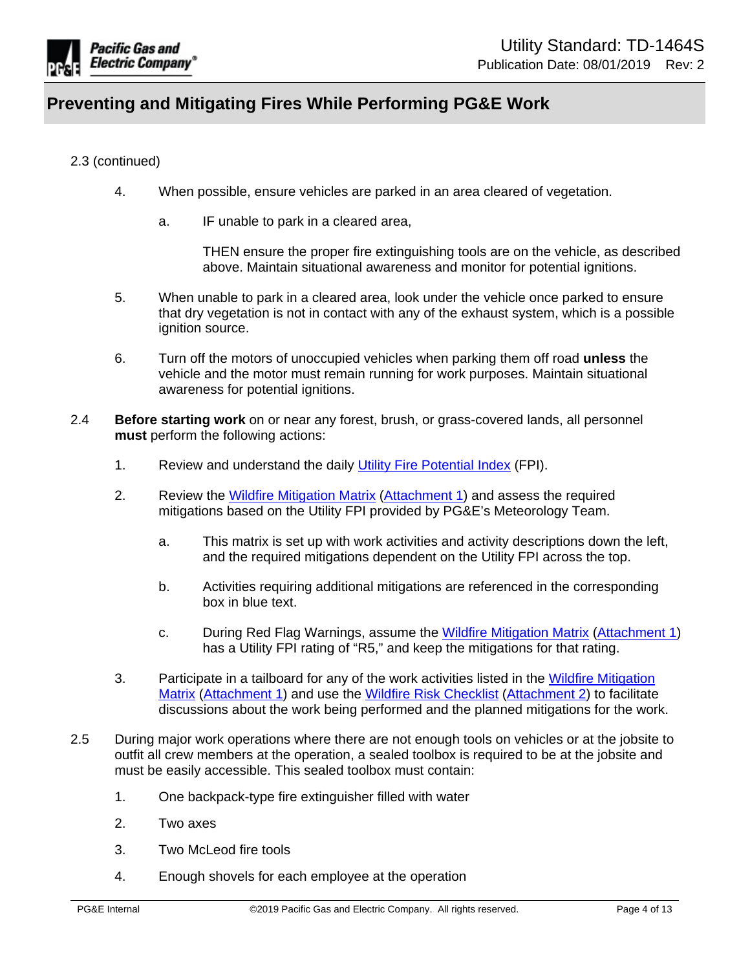

## 2.3 (continued)

- 4. When possible, ensure vehicles are parked in an area cleared of vegetation.
	- a. IF unable to park in a cleared area,

THEN ensure the proper fire extinguishing tools are on the vehicle, as described above. Maintain situational awareness and monitor for potential ignitions.

- 5. When unable to park in a cleared area, look under the vehicle once parked to ensure that dry vegetation is not in contact with any of the exhaust system, which is a possible ignition source.
- 6. Turn off the motors of unoccupied vehicles when parking them off road **unless** the vehicle and the motor must remain running for work purposes. Maintain situational awareness for potential ignitions.
- 2.4 **Before starting work** on or near any forest, brush, or grass-covered lands, all personnel **must** perform the following actions:
	- 1. Review and understand the daily [Utility Fire Potential Index](https://iis10t2prd.cloud.pge.com/meteorology/EO/FireIndex/Webform1) (FPI).
	- 2. Review the [Wildfire Mitigation Matrix](https://edrm.comp.pge.com/D2/?docbase=pge_ecm&commandEvent=D2_ACTION_CONTENT_VIEW&locateDql=pge_document(all)%20where%20i_chronicle_id%20=) ([Attachment 1](https://edrm.comp.pge.com/D2/?docbase=pge_ecm&commandEvent=D2_ACTION_CONTENT_VIEW&locateDql=pge_document(all)%20where%20i_chronicle_id%20=)) and assess the required mitigations based on the Utility FPI provided by PG&E's Meteorology Team.
		- a. This matrix is set up with work activities and activity descriptions down the left, and the required mitigations dependent on the Utility FPI across the top.
		- b. Activities requiring additional mitigations are referenced in the corresponding box in blue text.
		- c. During Red Flag Warnings, assume the [Wildfire Mitigation Matrix](https://edrm.comp.pge.com/D2/?docbase=pge_ecm&commandEvent=D2_ACTION_CONTENT_VIEW&locateDql=pge_document(all)%20where%20i_chronicle_id%20=) ([Attachment 1\)](https://edrm.comp.pge.com/D2/?docbase=pge_ecm&commandEvent=D2_ACTION_CONTENT_VIEW&locateDql=pge_document(all)%20where%20i_chronicle_id%20=) has a Utility FPI rating of "R5," and keep the mitigations for that rating.
	- 3. Participate in a tailboard for any of the work activities listed in the [Wildfire Mitigation](https://edrm.comp.pge.com/D2/?docbase=pge_ecm&commandEvent=D2_ACTION_CONTENT_VIEW&locateDql=pge_document(all)%20where%20i_chronicle_id%20=)  [Matrix \(Attachment 1](https://edrm.comp.pge.com/D2/?docbase=pge_ecm&commandEvent=D2_ACTION_CONTENT_VIEW&locateDql=pge_document(all)%20where%20i_chronicle_id%20=)) and use the [Wildfire Risk Checklist](https://edrm.comp.pge.com/D2/?docbase=pge_ecm&commandEvent=D2_ACTION_CONTENT_VIEW&locateDql=pge_document(all)%20where%20i_chronicle_id%20=) ([Attachment 2\)](https://edrm.comp.pge.com/D2/?docbase=pge_ecm&commandEvent=D2_ACTION_CONTENT_VIEW&locateDql=pge_document(all)%20where%20i_chronicle_id%20=) to facilitate discussions about the work being performed and the planned mitigations for the work.
- 2.5 During major work operations where there are not enough tools on vehicles or at the jobsite to outfit all crew members at the operation, a sealed toolbox is required to be at the jobsite and must be easily accessible. This sealed toolbox must contain:
	- 1. One backpack-type fire extinguisher filled with water
	- 2. Two axes
	- 3. Two McLeod fire tools
	- 4. Enough shovels for each employee at the operation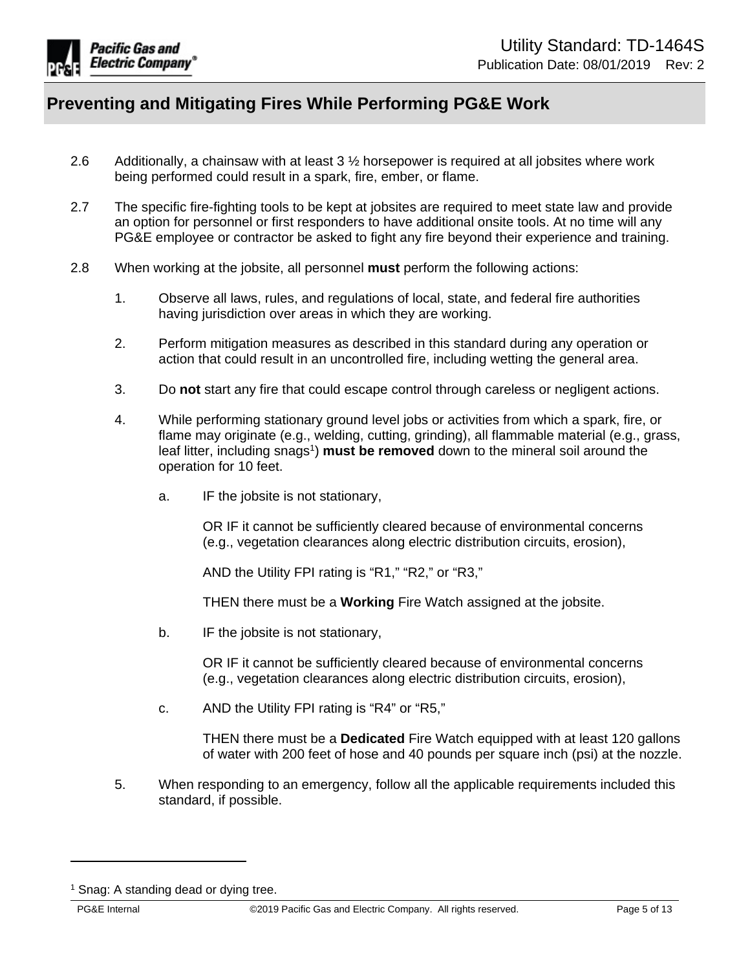

- 2.6 Additionally, a chainsaw with at least 3 ½ horsepower is required at all jobsites where work being performed could result in a spark, fire, ember, or flame.
- 2.7 The specific fire-fighting tools to be kept at jobsites are required to meet state law and provide an option for personnel or first responders to have additional onsite tools. At no time will any PG&E employee or contractor be asked to fight any fire beyond their experience and training.
- 2.8 When working at the jobsite, all personnel **must** perform the following actions:
	- 1. Observe all laws, rules, and regulations of local, state, and federal fire authorities having jurisdiction over areas in which they are working.
	- 2. Perform mitigation measures as described in this standard during any operation or action that could result in an uncontrolled fire, including wetting the general area.
	- 3. Do **not** start any fire that could escape control through careless or negligent actions.
	- 4. While performing stationary ground level jobs or activities from which a spark, fire, or flame may originate (e.g., welding, cutting, grinding), all flammable material (e.g., grass, leaf litter, including snags<sup>1</sup>) must be removed down to the mineral soil around the operation for 10 feet.
		- a. IF the jobsite is not stationary,

OR IF it cannot be sufficiently cleared because of environmental concerns (e.g., vegetation clearances along electric distribution circuits, erosion),

AND the Utility FPI rating is "R1," "R2," or "R3,"

THEN there must be a **Working** Fire Watch assigned at the jobsite.

b. IF the jobsite is not stationary,

OR IF it cannot be sufficiently cleared because of environmental concerns (e.g., vegetation clearances along electric distribution circuits, erosion),

c. AND the Utility FPI rating is "R4" or "R5,"

THEN there must be a **Dedicated** Fire Watch equipped with at least 120 gallons of water with 200 feet of hose and 40 pounds per square inch (psi) at the nozzle.

5. When responding to an emergency, follow all the applicable requirements included this standard, if possible.

<sup>&</sup>lt;sup>1</sup> Snag: A standing dead or dying tree.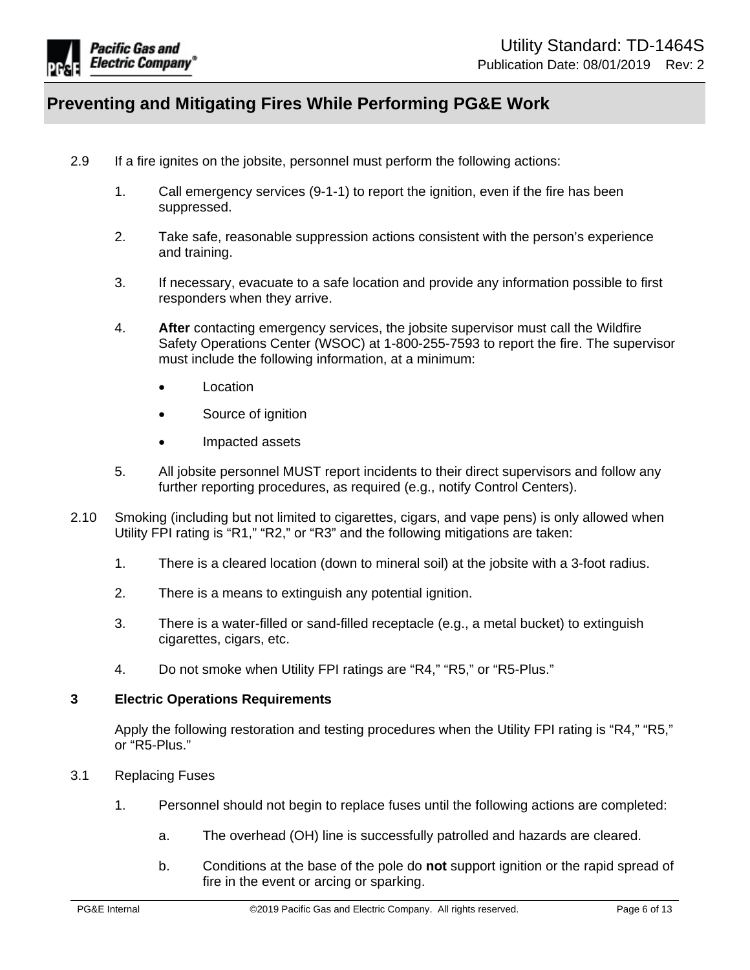

- 2.9 If a fire ignites on the jobsite, personnel must perform the following actions:
	- 1. Call emergency services (9-1-1) to report the ignition, even if the fire has been suppressed.
	- 2. Take safe, reasonable suppression actions consistent with the person's experience and training.
	- 3. If necessary, evacuate to a safe location and provide any information possible to first responders when they arrive.
	- 4. **After** contacting emergency services, the jobsite supervisor must call the Wildfire Safety Operations Center (WSOC) at 1-800-255-7593 to report the fire. The supervisor must include the following information, at a minimum:
		- Location
		- Source of ignition
		- Impacted assets
	- 5. All jobsite personnel MUST report incidents to their direct supervisors and follow any further reporting procedures, as required (e.g., notify Control Centers).
- 2.10 Smoking (including but not limited to cigarettes, cigars, and vape pens) is only allowed when Utility FPI rating is "R1," "R2," or "R3" and the following mitigations are taken:
	- 1. There is a cleared location (down to mineral soil) at the jobsite with a 3-foot radius.
	- 2. There is a means to extinguish any potential ignition.
	- 3. There is a water-filled or sand-filled receptacle (e.g., a metal bucket) to extinguish cigarettes, cigars, etc.
	- 4. Do not smoke when Utility FPI ratings are "R4," "R5," or "R5-Plus."

#### <span id="page-5-0"></span>**3 Electric Operations Requirements**

Apply the following restoration and testing procedures when the Utility FPI rating is "R4," "R5," or "R5-Plus."

- 3.1 Replacing Fuses
	- 1. Personnel should not begin to replace fuses until the following actions are completed:
		- a. The overhead (OH) line is successfully patrolled and hazards are cleared.
		- b. Conditions at the base of the pole do **not** support ignition or the rapid spread of fire in the event or arcing or sparking.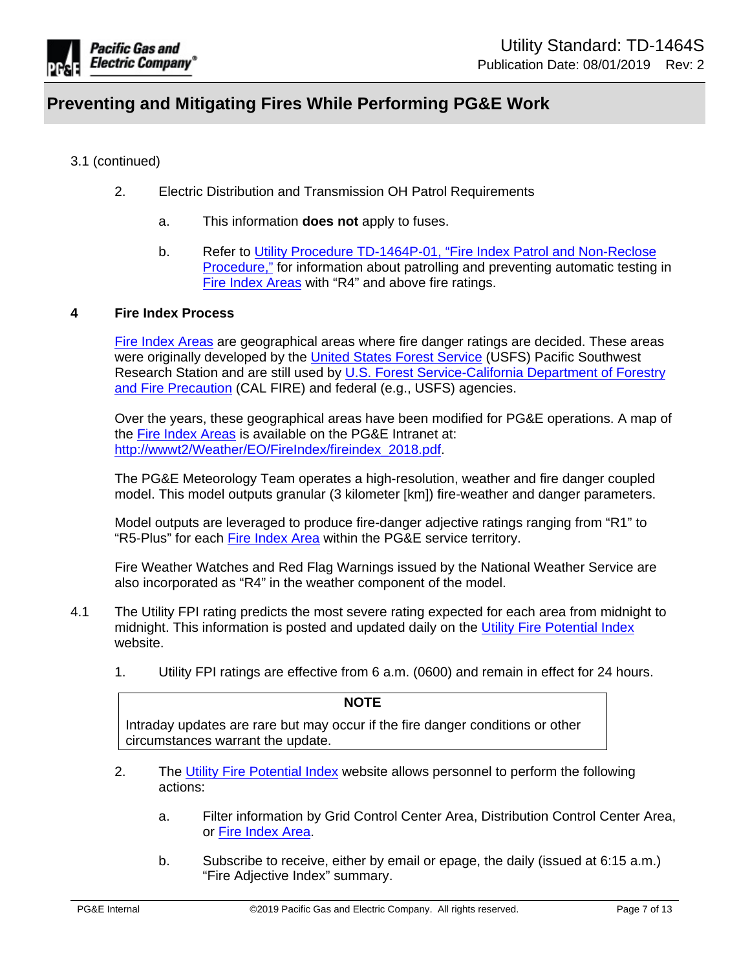

## 3.1 (continued)

- 2. Electric Distribution and Transmission OH Patrol Requirements
	- a. This information **does not** apply to fuses.
	- b. Refer to [Utility Procedure TD-1464P-01, "Fire Index Patrol and Non-Reclose](https://ecmappwlsp01c2.comp.pge.com/TILVIEWER?chronicleId=09131aad8b5c063a&vd=true&device=false)  [Procedure,"](https://ecmappwlsp01c2.comp.pge.com/TILVIEWER?chronicleId=09131aad8b5c063a&vd=true&device=false) for information about patrolling and preventing automatic testing in [Fire Index Areas](http://wwwt2/Weather/EO/FireIndex/fireindex_2018.pdf) with "R4" and above fire ratings.

#### <span id="page-6-0"></span>**4 Fire Index Process**

[Fire Index Areas](http://wwwt2/Weather/EO/FireIndex/fireindex_2018.pdf) are geographical areas where fire danger ratings are decided. These areas were originally developed by the [United States Forest Service](https://www.fs.fed.us/) (USFS) Pacific Southwest Research Station and are still used by [U.S. Forest Service-California Department of Forestry](http://www.fire.ca.gov/)  [and Fire Precaution](http://www.fire.ca.gov/) (CAL FIRE) and federal (e.g., USFS) agencies.

Over the years, these geographical areas have been modified for PG&E operations. A map of the [Fire Index Areas](http://wwwt2/Weather/EO/FireIndex/fireindex_2018.pdf) is available on the PG&E Intranet at: [http://wwwt2/Weather/EO/FireIndex/fireindex\\_2018.pdf](http://wwwt2/Weather/EO/FireIndex/fireindex_2018.pdf).

The PG&E Meteorology Team operates a high-resolution, weather and fire danger coupled model. This model outputs granular (3 kilometer [km]) fire-weather and danger parameters.

Model outputs are leveraged to produce fire-danger adjective ratings ranging from "R1" to "R5-Plus" for each [Fire Index Area](http://wwwt2/Weather/EO/FireIndex/fireindex_2018.pdf) within the PG&E service territory.

Fire Weather Watches and Red Flag Warnings issued by the National Weather Service are also incorporated as "R4" in the weather component of the model.

- 4.1 The Utility FPI rating predicts the most severe rating expected for each area from midnight to midnight. This information is posted and updated daily on the [Utility Fire Potential Index](https://iis10t2prd.cloud.pge.com/meteorology/EO/FireIndex/Webform1) website.
	- 1. Utility FPI ratings are effective from 6 a.m. (0600) and remain in effect for 24 hours.

#### **NOTE**

Intraday updates are rare but may occur if the fire danger conditions or other circumstances warrant the update.

- 2. The [Utility Fire Potential Index](https://iis10t2prd.cloud.pge.com/meteorology/EO/FireIndex/Webform1) website allows personnel to perform the following actions:
	- a. Filter information by Grid Control Center Area, Distribution Control Center Area, or [Fire Index Area.](http://wwwt2/Weather/EO/FireIndex/fireindex_2018.pdf)
	- b. Subscribe to receive, either by email or epage, the daily (issued at 6:15 a.m.) "Fire Adjective Index" summary.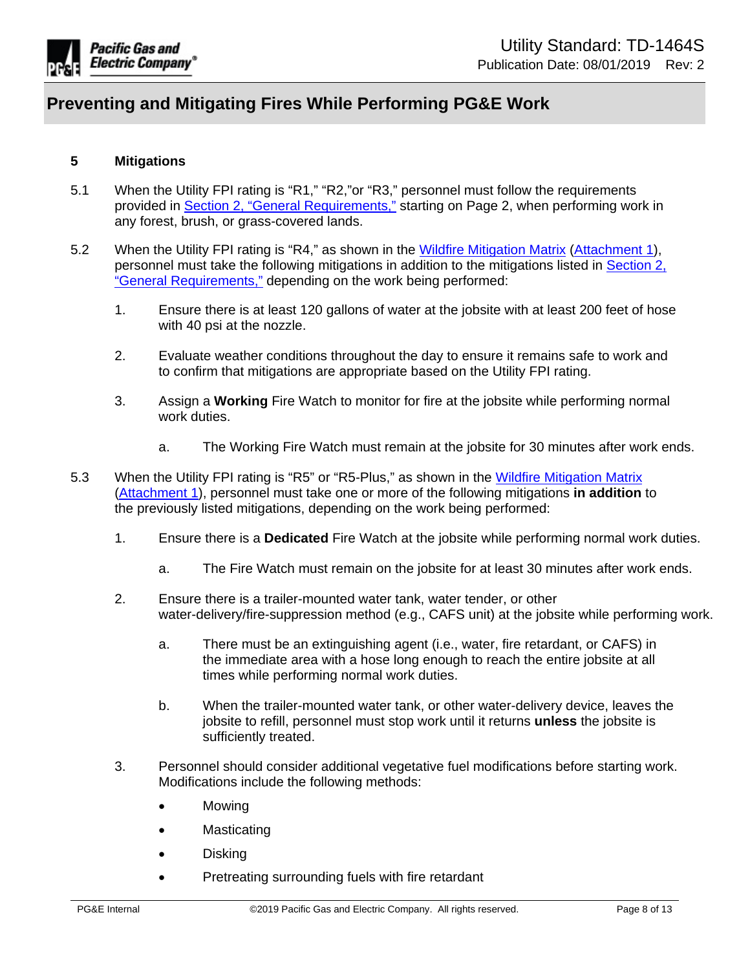

### <span id="page-7-0"></span>**5 Mitigations**

- 5.1 When the Utility FPI rating is "R1," "R2,"or "R3," personnel must follow the requirements provided in [Section 2, "General Requirements,"](#page-1-1) starting on Page 2, when performing work in any forest, brush, or grass-covered lands.
- 5.2 When the Utility FPI rating is "R4," as shown in the [Wildfire Mitigation Matrix](https://edrm.comp.pge.com/D2/?docbase=pge_ecm&commandEvent=D2_ACTION_CONTENT_VIEW&locateDql=pge_document(all)%20where%20i_chronicle_id%20=) ([Attachment 1\)](https://edrm.comp.pge.com/D2/?docbase=pge_ecm&commandEvent=D2_ACTION_CONTENT_VIEW&locateDql=pge_document(all)%20where%20i_chronicle_id%20=), personnel must take the following mitigations in addition to the mitigations listed in [Section 2,](#page-1-1)  ["General Requirements,"](#page-1-1) depending on the work being performed:
	- 1. Ensure there is at least 120 gallons of water at the jobsite with at least 200 feet of hose with 40 psi at the nozzle.
	- 2. Evaluate weather conditions throughout the day to ensure it remains safe to work and to confirm that mitigations are appropriate based on the Utility FPI rating.
	- 3. Assign a **Working** Fire Watch to monitor for fire at the jobsite while performing normal work duties.
		- a. The Working Fire Watch must remain at the jobsite for 30 minutes after work ends.
- 5.3 When the Utility FPI rating is "R5" or "R5-Plus," as shown in the [Wildfire Mitigation Matrix](https://edrm.comp.pge.com/D2/?docbase=pge_ecm&commandEvent=D2_ACTION_CONTENT_VIEW&locateDql=pge_document(all)%20where%20i_chronicle_id%20=) [\(Attachment 1](https://edrm.comp.pge.com/D2/?docbase=pge_ecm&commandEvent=D2_ACTION_CONTENT_VIEW&locateDql=pge_document(all)%20where%20i_chronicle_id%20=)), personnel must take one or more of the following mitigations **in addition** to the previously listed mitigations, depending on the work being performed:
	- 1. Ensure there is a **Dedicated** Fire Watch at the jobsite while performing normal work duties.
		- a. The Fire Watch must remain on the jobsite for at least 30 minutes after work ends.
	- 2. Ensure there is a trailer-mounted water tank, water tender, or other water-delivery/fire-suppression method (e.g., CAFS unit) at the jobsite while performing work.
		- a. There must be an extinguishing agent (i.e., water, fire retardant, or CAFS) in the immediate area with a hose long enough to reach the entire jobsite at all times while performing normal work duties.
		- b. When the trailer-mounted water tank, or other water-delivery device, leaves the jobsite to refill, personnel must stop work until it returns **unless** the jobsite is sufficiently treated.
	- 3. Personnel should consider additional vegetative fuel modifications before starting work. Modifications include the following methods:
		- Mowing
		- Masticating
		- Disking
		- Pretreating surrounding fuels with fire retardant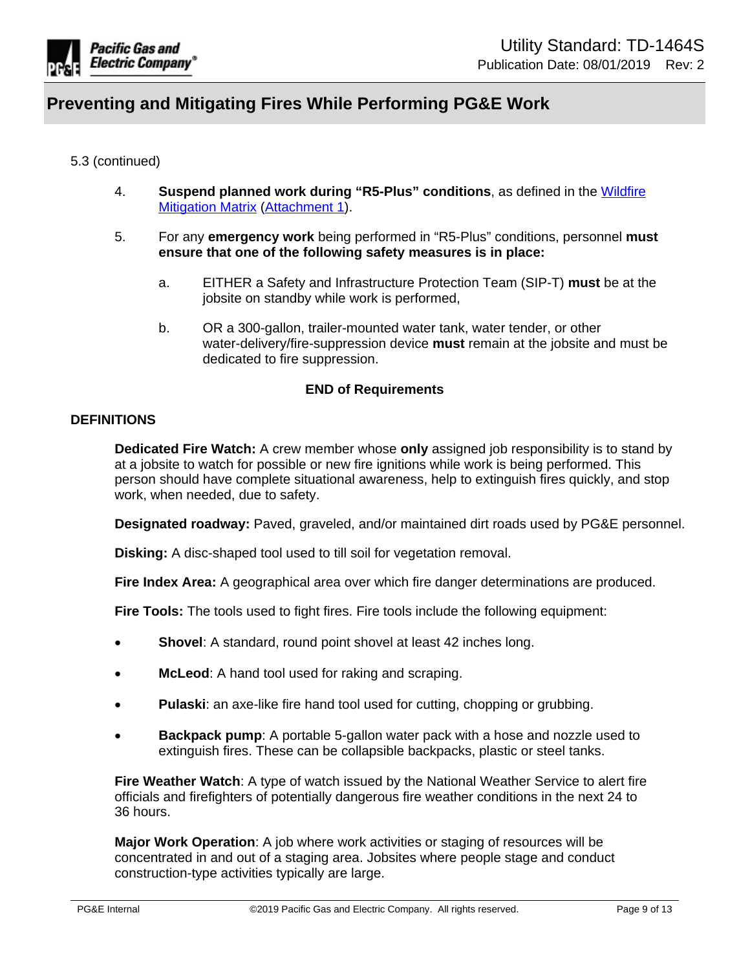

### 5.3 (continued)

- 4. **Suspend planned work during "R5-Plus" conditions**, as defined in the [Wildfire](https://edrm.comp.pge.com/D2/?docbase=pge_ecm&commandEvent=D2_ACTION_CONTENT_VIEW&locateDql=pge_document(all)%20where%20i_chronicle_id%20=)  [Mitigation Matrix \(Attachment 1](https://edrm.comp.pge.com/D2/?docbase=pge_ecm&commandEvent=D2_ACTION_CONTENT_VIEW&locateDql=pge_document(all)%20where%20i_chronicle_id%20=)).
- 5. For any **emergency work** being performed in "R5-Plus" conditions, personnel **must ensure that one of the following safety measures is in place:**
	- a. EITHER a Safety and Infrastructure Protection Team (SIP-T) **must** be at the jobsite on standby while work is performed,
	- b. OR a 300-gallon, trailer-mounted water tank, water tender, or other water-delivery/fire-suppression device **must** remain at the jobsite and must be dedicated to fire suppression.

### **END of Requirements**

## **DEFINITIONS**

**Dedicated Fire Watch:** A crew member whose **only** assigned job responsibility is to stand by at a jobsite to watch for possible or new fire ignitions while work is being performed. This person should have complete situational awareness, help to extinguish fires quickly, and stop work, when needed, due to safety.

**Designated roadway:** Paved, graveled, and/or maintained dirt roads used by PG&E personnel.

**Disking:** A disc-shaped tool used to till soil for vegetation removal.

**Fire Index Area:** A geographical area over which fire danger determinations are produced.

**Fire Tools:** The tools used to fight fires. Fire tools include the following equipment:

- **Shovel**: A standard, round point shovel at least 42 inches long.
- **McLeod**: A hand tool used for raking and scraping.
- **Pulaski**: an axe-like fire hand tool used for cutting, chopping or grubbing.
- **Backpack pump**: A portable 5-gallon water pack with a hose and nozzle used to extinguish fires. These can be collapsible backpacks, plastic or steel tanks.

**Fire Weather Watch**: A type of watch issued by the National Weather Service to alert fire officials and firefighters of potentially dangerous fire weather conditions in the next 24 to 36 hours.

**Major Work Operation**: A job where work activities or staging of resources will be concentrated in and out of a staging area. Jobsites where people stage and conduct construction-type activities typically are large.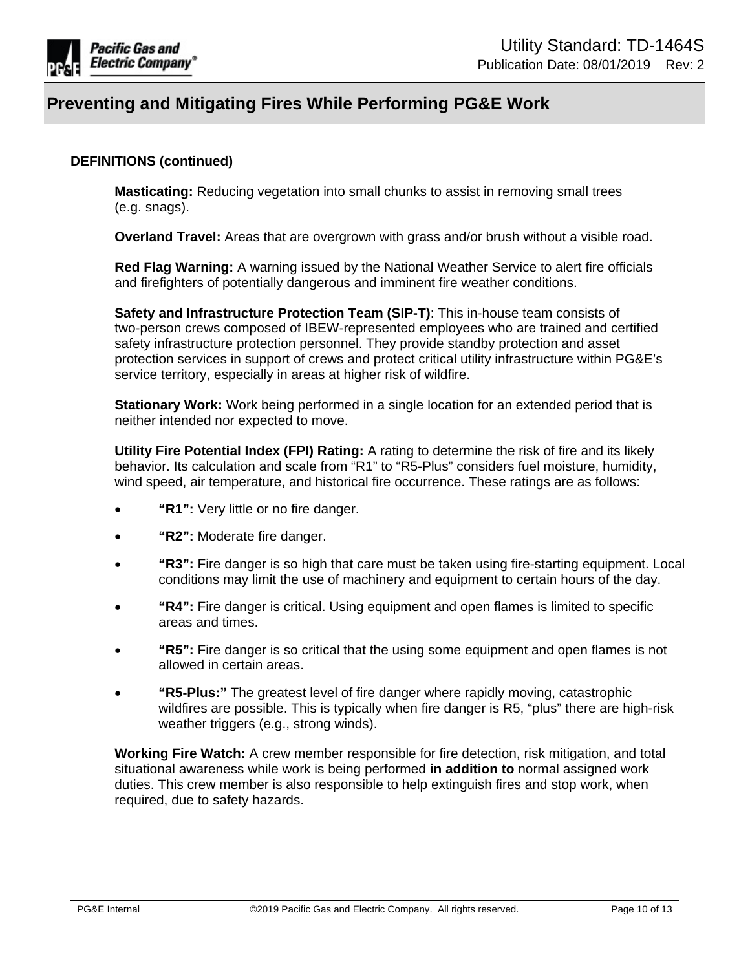

### **DEFINITIONS (continued)**

**Masticating:** Reducing vegetation into small chunks to assist in removing small trees (e.g. snags).

**Overland Travel:** Areas that are overgrown with grass and/or brush without a visible road.

**Red Flag Warning:** A warning issued by the National Weather Service to alert fire officials and firefighters of potentially dangerous and imminent fire weather conditions.

**Safety and Infrastructure Protection Team (SIP-T)**: This in-house team consists of two-person crews composed of IBEW-represented employees who are trained and certified safety infrastructure protection personnel. They provide standby protection and asset protection services in support of crews and protect critical utility infrastructure within PG&E's service territory, especially in areas at higher risk of wildfire.

**Stationary Work:** Work being performed in a single location for an extended period that is neither intended nor expected to move.

**Utility Fire Potential Index (FPI) Rating:** A rating to determine the risk of fire and its likely behavior. Its calculation and scale from "R1" to "R5-Plus" considers fuel moisture, humidity, wind speed, air temperature, and historical fire occurrence. These ratings are as follows:

- **"R1":** Very little or no fire danger.
- **"R2":** Moderate fire danger.
- **"R3":** Fire danger is so high that care must be taken using fire-starting equipment. Local conditions may limit the use of machinery and equipment to certain hours of the day.
- **"R4":** Fire danger is critical. Using equipment and open flames is limited to specific areas and times.
- **"R5":** Fire danger is so critical that the using some equipment and open flames is not allowed in certain areas.
- **"R5-Plus:"** The greatest level of fire danger where rapidly moving, catastrophic wildfires are possible. This is typically when fire danger is R5, "plus" there are high-risk weather triggers (e.g., strong winds).

**Working Fire Watch:** A crew member responsible for fire detection, risk mitigation, and total situational awareness while work is being performed **in addition to** normal assigned work duties. This crew member is also responsible to help extinguish fires and stop work, when required, due to safety hazards.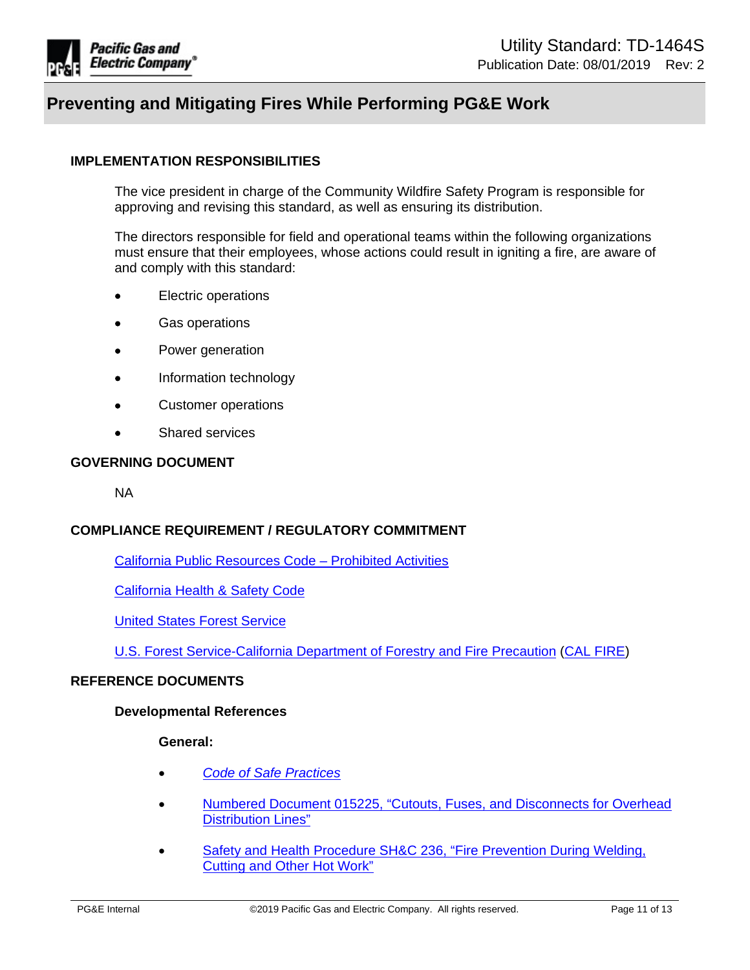

## **IMPLEMENTATION RESPONSIBILITIES**

The vice president in charge of the Community Wildfire Safety Program is responsible for approving and revising this standard, as well as ensuring its distribution.

The directors responsible for field and operational teams within the following organizations must ensure that their employees, whose actions could result in igniting a fire, are aware of and comply with this standard:

- Electric operations
- Gas operations
- Power generation
- Information technology
- Customer operations
- Shared services

#### **GOVERNING DOCUMENT**

NA

#### **COMPLIANCE REQUIREMENT / REGULATORY COMMITMENT**

[California Public Resources Code – Prohibited Activities](https://leginfo.legislature.ca.gov/faces/codes_displayText.xhtml?lawCode=PRC&division=4.&title=&part=2.&chapter=6.&article=2.) 

[California Health & Safety Code](https://leginfo.legislature.ca.gov/faces/codesTOCSelected.xhtml?tocCode=HSC&tocTitle=+Health+and+Safety+Code+-+HSC)

[United States Forest Service](https://www.fs.fed.us/)

[U.S. Forest Service-California Department of Forestry and Fire Precaution](http://www.fire.ca.gov/) [\(CAL FIRE\)](http://www.fire.ca.gov/)

#### **REFERENCE DOCUMENTS**

#### **Developmental References**

**General:**

- *[Code of Safe Practices](https://sps.utility.pge.com/sites/SEHS/Shared%20Documents/CSP%20Revision%20Drafts/2017%20Completed%20Updates/Full%20Print%20Code%20of%20Safe%20Practices.pdf)*
- Numbered Document 015225, "Cutouts, Fuses, and Disconnects for Overhead [Distribution Lines"](https://edrm.comp.pge.com/D2/?docbase=pge_ecm&commandEvent=D2_ACTION_OPEN_VD&locateDql=pge_document(all)%20where%20i_chronicle_id%20=)
- [Safety and Health Procedure SH&C 236, "Fire Prevention During Welding,](http://wwwedm/cgi-bin/getdocEDM.asp?itemid=003892592)  [Cutting and Other Hot Work"](http://wwwedm/cgi-bin/getdocEDM.asp?itemid=003892592)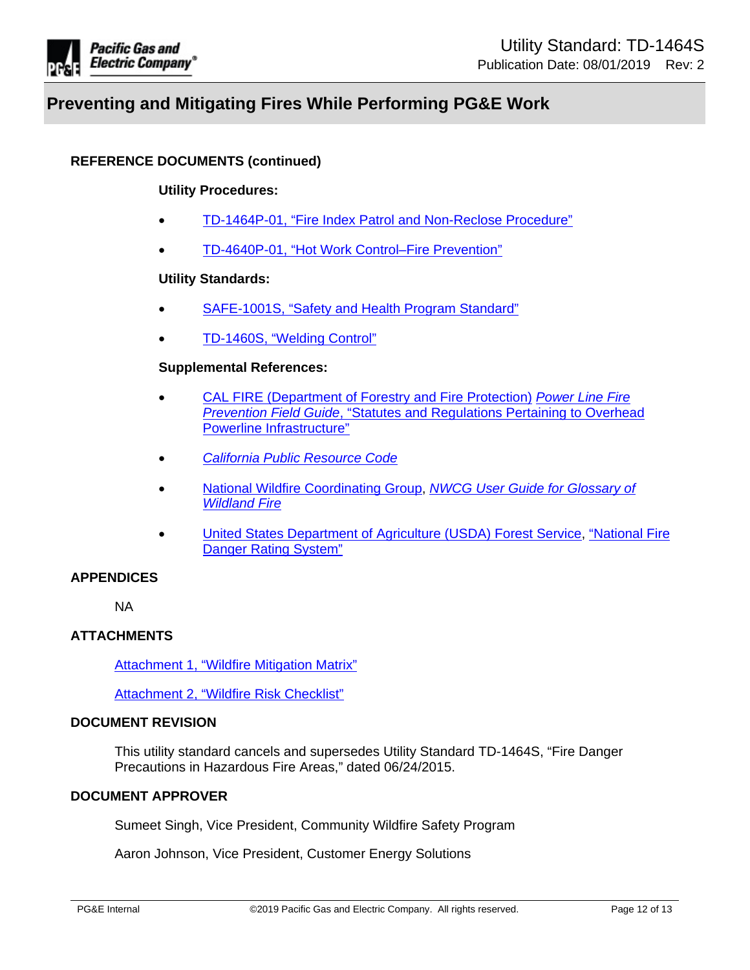

## **REFERENCE DOCUMENTS (continued)**

#### **Utility Procedures:**

- [TD-1464P-01, "Fire Index Patrol and Non-Reclose Procedure"](https://ecmappwlsp01c2.comp.pge.com/TILVIEWER?chronicleId=09131aad8b5c063a&vd=true&device=false)
- TD-4640P-01, "Hot Work Control–Fire Prevention"

#### **Utility Standards:**

- [SAFE-1001S, "Safety and Health Program Standard"](http://wwwedm/cgi-bin/getdoctdm.asp?itemid=005608094)
- [TD-1460S, "Welding Control"](https://ecmappwlsp01c2.comp.pge.com/TILVIEWER?chronicleId=09131aad80e07ee5&vd=true&device=false)

#### **Supplemental References:**

- [CAL FIRE \(Department of Forestry and Fire Protection\)](http://www.fire.ca.gov/) *[Power Line Fire](https://bof.fire.ca.gov/media/7482/full-13-a-statutes-and-regulations-for-powerline-clearance.pdf)  [Prevention Field Guide](https://bof.fire.ca.gov/media/7482/full-13-a-statutes-and-regulations-for-powerline-clearance.pdf)*, "Statutes and Regulations Pertaining to Overhead Powerline Infrastructure"
- *[California Public Resource Code](http://www.leginfo.ca.gov/cgi-bin/calawquery?codesection=prc&codebody=&hits=20)*
- [National Wildfire Coordinating Group,](https://www.fs.usda.gov/detail/cibola/landmanagement/resourcemanagement/?cid=stelprdb5368839) *[NWCG User Guide for Glossary of](https://www.nwcg.gov/sites/default/files/publications/pms937.pdf)  [Wildland Fire](https://www.nwcg.gov/sites/default/files/publications/pms937.pdf)*
- [United States Department of Agriculture \(USDA\) Forest Service,](https://www.fs.usda.gov/detail/cibola/landmanagement/resourcemanagement) ["National Fire](https://www.fs.usda.gov/detail/cibola/landmanagement/resourcemanagement/?cid=stelprdb5368839)  [Danger Rating System](https://www.fs.usda.gov/detail/cibola/landmanagement/resourcemanagement/?cid=stelprdb5368839)"

#### **APPENDICES**

NA

#### **ATTACHMENTS**

[Attachment 1, "Wildfire Mitigation Matrix"](https://edrm.comp.pge.com/D2/?docbase=pge_ecm&commandEvent=D2_ACTION_CONTENT_VIEW&locateDql=pge_document(all)%20where%20i_chronicle_id%20=)

[Attachment 2, "Wildfire Risk Checklist"](https://edrm.comp.pge.com/D2/?docbase=pge_ecm&commandEvent=D2_ACTION_CONTENT_VIEW&locateDql=pge_document(all)%20where%20i_chronicle_id%20=)

### **DOCUMENT REVISION**

This utility standard cancels and supersedes Utility Standard TD-1464S, "Fire Danger Precautions in Hazardous Fire Areas," dated 06/24/2015.

### **DOCUMENT APPROVER**

Sumeet Singh, Vice President, Community Wildfire Safety Program

Aaron Johnson, Vice President, Customer Energy Solutions